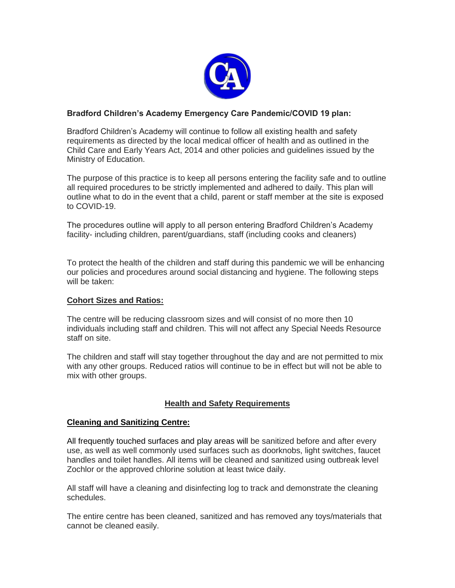

## **Bradford Children's Academy Emergency Care Pandemic/COVID 19 plan:**

Bradford Children's Academy will continue to follow all existing health and safety requirements as directed by the local medical officer of health and as outlined in the Child Care and Early Years Act, 2014 and other policies and guidelines issued by the Ministry of Education.

The purpose of this practice is to keep all persons entering the facility safe and to outline all required procedures to be strictly implemented and adhered to daily. This plan will outline what to do in the event that a child, parent or staff member at the site is exposed to COVID-19.

The procedures outline will apply to all person entering Bradford Children's Academy facility- including children, parent/guardians, staff (including cooks and cleaners)

To protect the health of the children and staff during this pandemic we will be enhancing our policies and procedures around social distancing and hygiene. The following steps will be taken:

## **Cohort Sizes and Ratios:**

The centre will be reducing classroom sizes and will consist of no more then 10 individuals including staff and children. This will not affect any Special Needs Resource staff on site.

The children and staff will stay together throughout the day and are not permitted to mix with any other groups. Reduced ratios will continue to be in effect but will not be able to mix with other groups.

# **Health and Safety Requirements**

## **Cleaning and Sanitizing Centre:**

All frequently touched surfaces and play areas will be sanitized before and after every use, as well as well commonly used surfaces such as doorknobs, light switches, faucet handles and toilet handles. All items will be cleaned and sanitized using outbreak level Zochlor or the approved chlorine solution at least twice daily.

All staff will have a cleaning and disinfecting log to track and demonstrate the cleaning schedules.

The entire centre has been cleaned, sanitized and has removed any toys/materials that cannot be cleaned easily.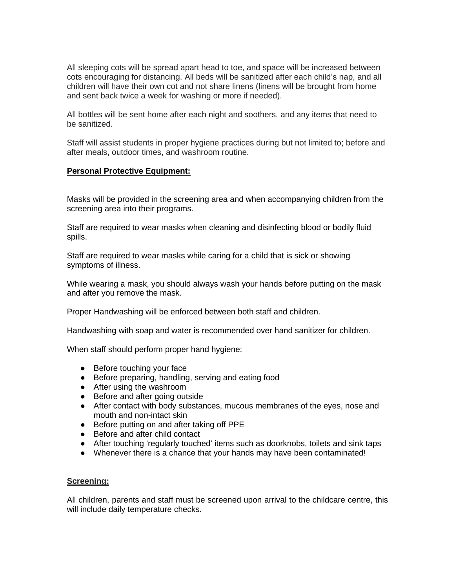All sleeping cots will be spread apart head to toe, and space will be increased between cots encouraging for distancing. All beds will be sanitized after each child's nap, and all children will have their own cot and not share linens (linens will be brought from home and sent back twice a week for washing or more if needed).

All bottles will be sent home after each night and soothers, and any items that need to be sanitized.

Staff will assist students in proper hygiene practices during but not limited to; before and after meals, outdoor times, and washroom routine.

## **Personal Protective Equipment:**

Masks will be provided in the screening area and when accompanying children from the screening area into their programs.

Staff are required to wear masks when cleaning and disinfecting blood or bodily fluid spills.

Staff are required to wear masks while caring for a child that is sick or showing symptoms of illness.

While wearing a mask, you should always wash your hands before putting on the mask and after you remove the mask.

Proper Handwashing will be enforced between both staff and children.

Handwashing with soap and water is recommended over hand sanitizer for children.

When staff should perform proper hand hygiene:

- Before touching your face
- Before preparing, handling, serving and eating food
- After using the washroom
- Before and after going outside
- After contact with body substances, mucous membranes of the eyes, nose and mouth and non-intact skin
- Before putting on and after taking off PPE
- Before and after child contact
- After touching 'regularly touched' items such as doorknobs, toilets and sink taps
- Whenever there is a chance that your hands may have been contaminated!

### **Screening:**

All children, parents and staff must be screened upon arrival to the childcare centre, this will include daily temperature checks.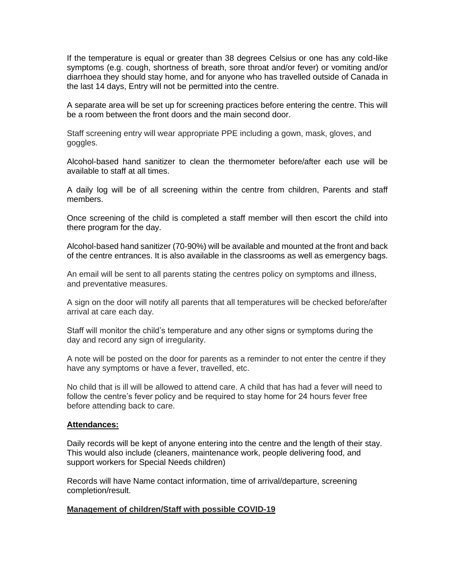If the temperature is equal or greater than 38 degrees Celsius or one has any cold-like symptoms (e.g. cough, shortness of breath, sore throat and/or fever) or vomiting and/or diarrhoea they should stay home, and for anyone who has travelled outside of Canada in the last 14 days, Entry will not be permitted into the centre.

A separate area will be set up for screening practices before entering the centre. This will be a room between the front doors and the main second door.

Staff screening entry will wear appropriate PPE including a gown, mask, gloves, and goggles.

Alcohol-based hand sanitizer to clean the thermometer before/after each use will be available to staff at all times.

A daily log will be of all screening within the centre from children, Parents and staff members.

Once screening of the child is completed a staff member will then escort the child into there program for the day.

Alcohol-based hand sanitizer (70-90%) will be available and mounted at the front and back of the centre entrances. It is also available in the classrooms as well as emergency bags.

An email will be sent to all parents stating the centres policy on symptoms and illness, and preventative measures.

A sign on the door will notify all parents that all temperatures will be checked before/after arrival at care each day.

Staff will monitor the child's temperature and any other signs or symptoms during the day and record any sign of irregularity.

A note will be posted on the door for parents as a reminder to not enter the centre if they have any symptoms or have a fever, travelled, etc.

No child that is ill will be allowed to attend care. A child that has had a fever will need to follow the centre's fever policy and be required to stay home for 24 hours fever free before attending back to care.

#### **Attendances:**

Daily records will be kept of anyone entering into the centre and the length of their stay. This would also include (cleaners, maintenance work, people delivering food, and support workers for Special Needs children)

Records will have Name contact information, time of arrival/departure, screening completion/result.

### **Management of children/Staff with possible COVID-19**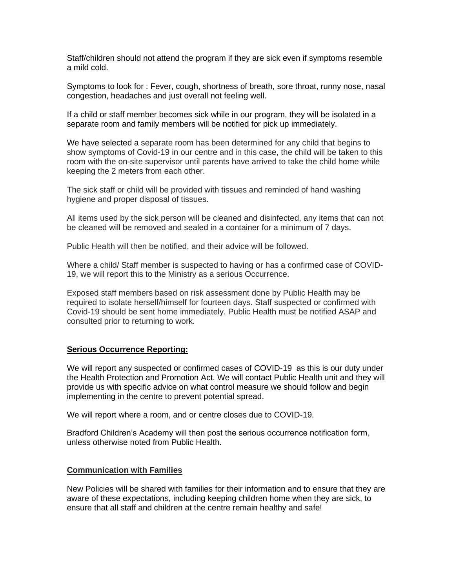Staff/children should not attend the program if they are sick even if symptoms resemble a mild cold.

Symptoms to look for : Fever, cough, shortness of breath, sore throat, runny nose, nasal congestion, headaches and just overall not feeling well.

If a child or staff member becomes sick while in our program, they will be isolated in a separate room and family members will be notified for pick up immediately.

We have selected a separate room has been determined for any child that begins to show symptoms of Covid-19 in our centre and in this case, the child will be taken to this room with the on-site supervisor until parents have arrived to take the child home while keeping the 2 meters from each other.

The sick staff or child will be provided with tissues and reminded of hand washing hygiene and proper disposal of tissues.

All items used by the sick person will be cleaned and disinfected, any items that can not be cleaned will be removed and sealed in a container for a minimum of 7 days.

Public Health will then be notified, and their advice will be followed.

Where a child/ Staff member is suspected to having or has a confirmed case of COVID-19, we will report this to the Ministry as a serious Occurrence.

Exposed staff members based on risk assessment done by Public Health may be required to isolate herself/himself for fourteen days. Staff suspected or confirmed with Covid-19 should be sent home immediately. Public Health must be notified ASAP and consulted prior to returning to work.

### **Serious Occurrence Reporting:**

We will report any suspected or confirmed cases of COVID-19 as this is our duty under the Health Protection and Promotion Act. We will contact Public Health unit and they will provide us with specific advice on what control measure we should follow and begin implementing in the centre to prevent potential spread.

We will report where a room, and or centre closes due to COVID-19.

Bradford Children's Academy will then post the serious occurrence notification form, unless otherwise noted from Public Health.

#### **Communication with Families**

New Policies will be shared with families for their information and to ensure that they are aware of these expectations, including keeping children home when they are sick, to ensure that all staff and children at the centre remain healthy and safe!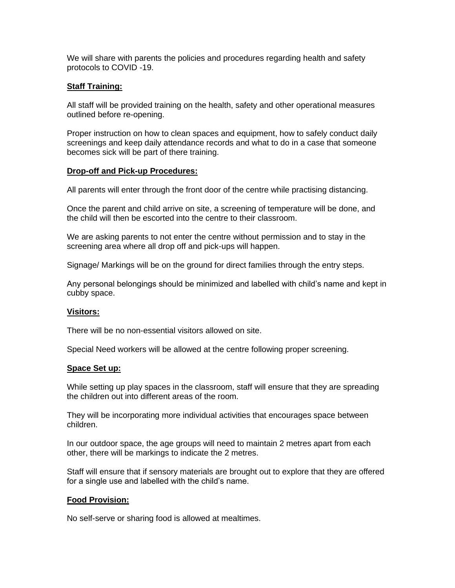We will share with parents the policies and procedures regarding health and safety protocols to COVID -19.

### **Staff Training:**

All staff will be provided training on the health, safety and other operational measures outlined before re-opening.

Proper instruction on how to clean spaces and equipment, how to safely conduct daily screenings and keep daily attendance records and what to do in a case that someone becomes sick will be part of there training.

### **Drop-off and Pick-up Procedures:**

All parents will enter through the front door of the centre while practising distancing.

Once the parent and child arrive on site, a screening of temperature will be done, and the child will then be escorted into the centre to their classroom.

We are asking parents to not enter the centre without permission and to stay in the screening area where all drop off and pick-ups will happen.

Signage/ Markings will be on the ground for direct families through the entry steps.

Any personal belongings should be minimized and labelled with child's name and kept in cubby space.

### **Visitors:**

There will be no non-essential visitors allowed on site.

Special Need workers will be allowed at the centre following proper screening.

### **Space Set up:**

While setting up play spaces in the classroom, staff will ensure that they are spreading the children out into different areas of the room.

They will be incorporating more individual activities that encourages space between children.

In our outdoor space, the age groups will need to maintain 2 metres apart from each other, there will be markings to indicate the 2 metres.

Staff will ensure that if sensory materials are brought out to explore that they are offered for a single use and labelled with the child's name.

### **Food Provision:**

No self-serve or sharing food is allowed at mealtimes.